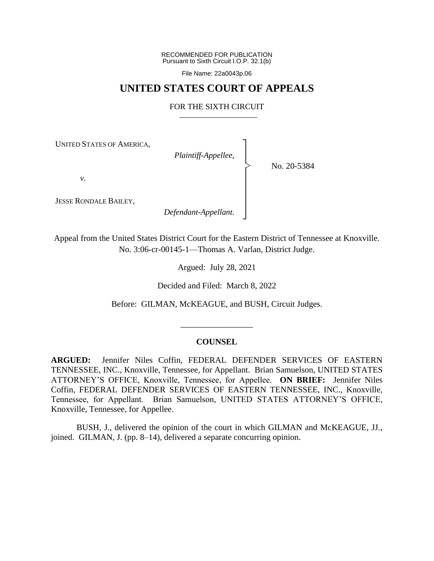RECOMMENDED FOR PUBLICATION Pursuant to Sixth Circuit I.O.P. 32.1(b)

File Name: 22a0043p.06

## **UNITED STATES COURT OF APPEALS**

## FOR THE SIXTH CIRCUIT

┐ │ │ │ │ │ │ │ ┘

|<br>|<br>|

UNITED STATES OF AMERICA,

*Plaintiff-Appellee*,

No. 20-5384

*v*.

JESSE RONDALE BAILEY,

*Defendant-Appellant*.

Appeal from the United States District Court for the Eastern District of Tennessee at Knoxville. No. 3:06-cr-00145-1—Thomas A. Varlan, District Judge.

Argued: July 28, 2021

Decided and Filed: March 8, 2022

Before: GILMAN, McKEAGUE, and BUSH, Circuit Judges.

#### **COUNSEL**

\_\_\_\_\_\_\_\_\_\_\_\_\_\_\_\_\_

**ARGUED:** Jennifer Niles Coffin, FEDERAL DEFENDER SERVICES OF EASTERN TENNESSEE, INC., Knoxville, Tennessee, for Appellant. Brian Samuelson, UNITED STATES ATTORNEY'S OFFICE, Knoxville, Tennessee, for Appellee. **ON BRIEF:** Jennifer Niles Coffin, FEDERAL DEFENDER SERVICES OF EASTERN TENNESSEE, INC., Knoxville, Tennessee, for Appellant. Brian Samuelson, UNITED STATES ATTORNEY'S OFFICE, Knoxville, Tennessee, for Appellee.

BUSH, J., delivered the opinion of the court in which GILMAN and McKEAGUE, JJ., joined. GILMAN, J. (pp. 8–14), delivered a separate concurring opinion.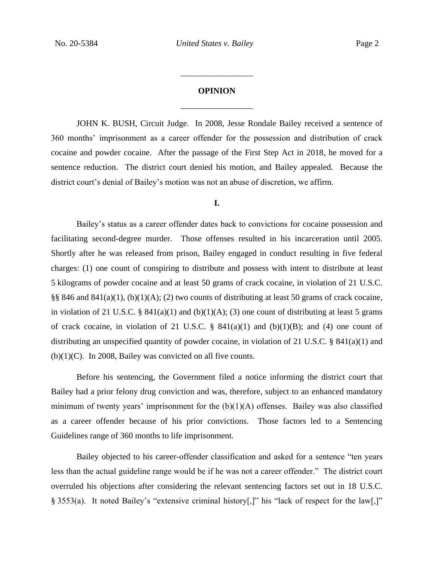# **OPINION** \_\_\_\_\_\_\_\_\_\_\_\_\_\_\_\_\_

\_\_\_\_\_\_\_\_\_\_\_\_\_\_\_\_\_

JOHN K. BUSH, Circuit Judge. In 2008, Jesse Rondale Bailey received a sentence of 360 months' imprisonment as a career offender for the possession and distribution of crack cocaine and powder cocaine. After the passage of the First Step Act in 2018, he moved for a sentence reduction. The district court denied his motion, and Bailey appealed. Because the district court's denial of Bailey's motion was not an abuse of discretion, we affirm.

## **I.**

Bailey's status as a career offender dates back to convictions for cocaine possession and facilitating second-degree murder. Those offenses resulted in his incarceration until 2005. Shortly after he was released from prison, Bailey engaged in conduct resulting in five federal charges: (1) one count of conspiring to distribute and possess with intent to distribute at least 5 kilograms of powder cocaine and at least 50 grams of crack cocaine, in violation of 21 U.S.C. §§ 846 and 841(a)(1), (b)(1)(A); (2) two counts of distributing at least 50 grams of crack cocaine, in violation of 21 U.S.C. §  $841(a)(1)$  and  $(b)(1)(A)$ ; (3) one count of distributing at least 5 grams of crack cocaine, in violation of 21 U.S.C.  $\S$  841(a)(1) and (b)(1)(B); and (4) one count of distributing an unspecified quantity of powder cocaine, in violation of 21 U.S.C. § 841(a)(1) and  $(b)(1)(C)$ . In 2008, Bailey was convicted on all five counts.

Before his sentencing, the Government filed a notice informing the district court that Bailey had a prior felony drug conviction and was, therefore, subject to an enhanced mandatory minimum of twenty years' imprisonment for the  $(b)(1)(A)$  offenses. Bailey was also classified as a career offender because of his prior convictions. Those factors led to a Sentencing Guidelines range of 360 months to life imprisonment.

Bailey objected to his career-offender classification and asked for a sentence "ten years less than the actual guideline range would be if he was not a career offender." The district court overruled his objections after considering the relevant sentencing factors set out in 18 U.S.C. § 3553(a). It noted Bailey's "extensive criminal history[,]" his "lack of respect for the law[,]"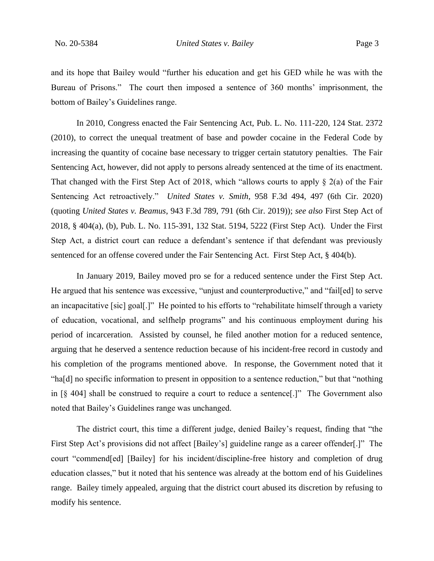and its hope that Bailey would "further his education and get his GED while he was with the Bureau of Prisons." The court then imposed a sentence of 360 months' imprisonment, the bottom of Bailey's Guidelines range.

In 2010, Congress enacted the Fair Sentencing Act, Pub. L. No. 111-220, 124 Stat. 2372 (2010), to correct the unequal treatment of base and powder cocaine in the Federal Code by increasing the quantity of cocaine base necessary to trigger certain statutory penalties. The Fair Sentencing Act, however, did not apply to persons already sentenced at the time of its enactment. That changed with the First Step Act of 2018, which "allows courts to apply  $\S$  2(a) of the Fair Sentencing Act retroactively." *United States v. Smith*, 958 F.3d 494, 497 (6th Cir. 2020) (quoting *United States v. Beamus*, 943 F.3d 789, 791 (6th Cir. 2019)); *see also* First Step Act of 2018, § 404(a), (b), Pub. L. No. 115-391, 132 Stat. 5194, 5222 (First Step Act). Under the First Step Act, a district court can reduce a defendant's sentence if that defendant was previously sentenced for an offense covered under the Fair Sentencing Act. First Step Act, § 404(b).

In January 2019, Bailey moved pro se for a reduced sentence under the First Step Act. He argued that his sentence was excessive, "unjust and counterproductive," and "fail[ed] to serve an incapacitative [sic] goal[.]" He pointed to his efforts to "rehabilitate himself through a variety of education, vocational, and selfhelp programs" and his continuous employment during his period of incarceration. Assisted by counsel, he filed another motion for a reduced sentence, arguing that he deserved a sentence reduction because of his incident-free record in custody and his completion of the programs mentioned above. In response, the Government noted that it "ha[d] no specific information to present in opposition to a sentence reduction," but that "nothing in [§ 404] shall be construed to require a court to reduce a sentence[.]" The Government also noted that Bailey's Guidelines range was unchanged.

The district court, this time a different judge, denied Bailey's request, finding that "the First Step Act's provisions did not affect [Bailey's] guideline range as a career offender[.]" The court "commend[ed] [Bailey] for his incident/discipline-free history and completion of drug education classes," but it noted that his sentence was already at the bottom end of his Guidelines range. Bailey timely appealed, arguing that the district court abused its discretion by refusing to modify his sentence.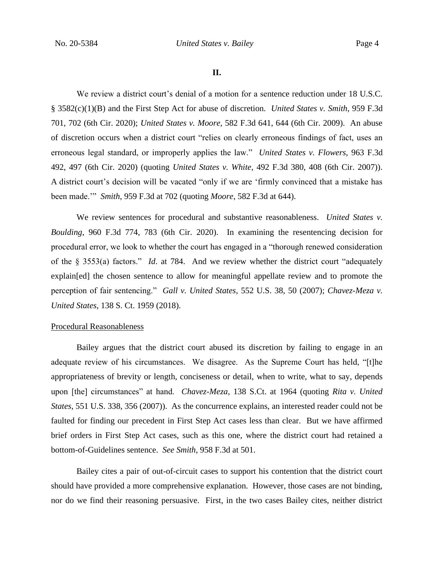We review a district court's denial of a motion for a sentence reduction under 18 U.S.C. § 3582(c)(1)(B) and the First Step Act for abuse of discretion. *United States v. Smith*, 959 F.3d 701, 702 (6th Cir. 2020); *United States v. Moore*, 582 F.3d 641, 644 (6th Cir. 2009). An abuse of discretion occurs when a district court "relies on clearly erroneous findings of fact, uses an erroneous legal standard, or improperly applies the law." *United States v. Flowers*, 963 F.3d 492, 497 (6th Cir. 2020) (quoting *United States v. White*, 492 F.3d 380, 408 (6th Cir. 2007)). A district court's decision will be vacated "only if we are 'firmly convinced that a mistake has been made.'" *Smith*, 959 F.3d at 702 (quoting *Moore*, 582 F.3d at 644).

We review sentences for procedural and substantive reasonableness. *United States v. Boulding*, 960 F.3d 774, 783 (6th Cir. 2020). In examining the resentencing decision for procedural error, we look to whether the court has engaged in a "thorough renewed consideration of the § 3553(a) factors." *Id*. at 784. And we review whether the district court "adequately explain[ed] the chosen sentence to allow for meaningful appellate review and to promote the perception of fair sentencing." *Gall v. United States*, 552 U.S. 38, 50 (2007); *Chavez-Meza v. United States*, 138 S. Ct. 1959 (2018).

## Procedural Reasonableness

Bailey argues that the district court abused its discretion by failing to engage in an adequate review of his circumstances. We disagree. As the Supreme Court has held, "[t]he appropriateness of brevity or length, conciseness or detail, when to write, what to say, depends upon [the] circumstances" at hand. *Chavez-Meza*, 138 S.Ct. at 1964 (quoting *Rita v. United States*, 551 U.S. 338, 356 (2007)). As the concurrence explains, an interested reader could not be faulted for finding our precedent in First Step Act cases less than clear. But we have affirmed brief orders in First Step Act cases, such as this one, where the district court had retained a bottom-of-Guidelines sentence. *See Smith*, 958 F.3d at 501.

Bailey cites a pair of out-of-circuit cases to support his contention that the district court should have provided a more comprehensive explanation. However, those cases are not binding, nor do we find their reasoning persuasive. First, in the two cases Bailey cites, neither district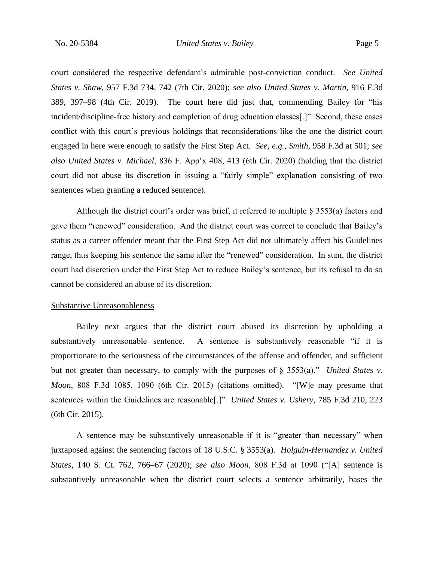court considered the respective defendant's admirable post-conviction conduct. *See United States v. Shaw*, 957 F.3d 734, 742 (7th Cir. 2020); *see also United States v. Martin*, 916 F.3d 389, 397–98 (4th Cir. 2019). The court here did just that, commending Bailey for "his incident/discipline-free history and completion of drug education classes[.]" Second, these cases conflict with this court's previous holdings that reconsiderations like the one the district court engaged in here were enough to satisfy the First Step Act. *See, e.g.*, *Smith*, 958 F.3d at 501; *see also United States v. Michael*, 836 F. App'x 408, 413 (6th Cir. 2020) (holding that the district court did not abuse its discretion in issuing a "fairly simple" explanation consisting of two sentences when granting a reduced sentence).

Although the district court's order was brief, it referred to multiple § 3553(a) factors and gave them "renewed" consideration. And the district court was correct to conclude that Bailey's status as a career offender meant that the First Step Act did not ultimately affect his Guidelines range, thus keeping his sentence the same after the "renewed" consideration. In sum, the district court had discretion under the First Step Act to reduce Bailey's sentence, but its refusal to do so cannot be considered an abuse of its discretion.

#### Substantive Unreasonableness

Bailey next argues that the district court abused its discretion by upholding a substantively unreasonable sentence. A sentence is substantively reasonable "if it is proportionate to the seriousness of the circumstances of the offense and offender, and sufficient but not greater than necessary, to comply with the purposes of § 3553(a)." *United States v. Moon*, 808 F.3d 1085, 1090 (6th Cir. 2015) (citations omitted). "[W]e may presume that sentences within the Guidelines are reasonable[.]" *United States v. Ushery*, 785 F.3d 210, 223 (6th Cir. 2015).

A sentence may be substantively unreasonable if it is "greater than necessary" when juxtaposed against the sentencing factors of 18 U.S.C. § 3553(a). *Holguin-Hernandez v. United States*, 140 S. Ct. 762, 766–67 (2020); *see also Moon*, 808 F.3d at 1090 ("[A] sentence is substantively unreasonable when the district court selects a sentence arbitrarily, bases the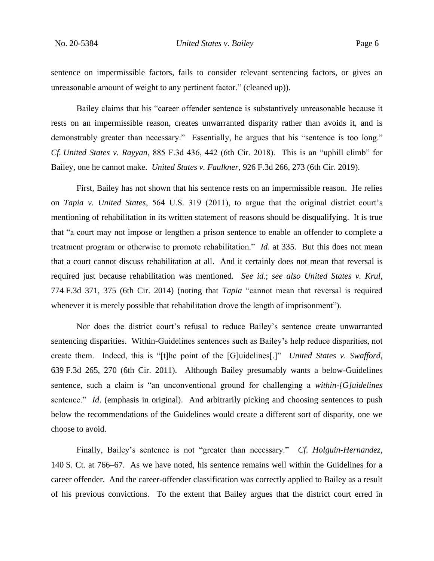sentence on impermissible factors, fails to consider relevant sentencing factors, or gives an unreasonable amount of weight to any pertinent factor." (cleaned up)).

Bailey claims that his "career offender sentence is substantively unreasonable because it rests on an impermissible reason, creates unwarranted disparity rather than avoids it, and is demonstrably greater than necessary." Essentially, he argues that his "sentence is too long." *Cf. United States v. Rayyan*, 885 F.3d 436, 442 (6th Cir. 2018). This is an "uphill climb" for Bailey, one he cannot make. *United States v. Faulkner*, 926 F.3d 266, 273 (6th Cir. 2019).

First, Bailey has not shown that his sentence rests on an impermissible reason. He relies on *Tapia v. United States*, 564 U.S. 319 (2011), to argue that the original district court's mentioning of rehabilitation in its written statement of reasons should be disqualifying. It is true that "a court may not impose or lengthen a prison sentence to enable an offender to complete a treatment program or otherwise to promote rehabilitation." *Id*. at 335. But this does not mean that a court cannot discuss rehabilitation at all. And it certainly does not mean that reversal is required just because rehabilitation was mentioned. *See id.*; *see also United States v. Krul*, 774 F.3d 371, 375 (6th Cir. 2014) (noting that *Tapia* "cannot mean that reversal is required whenever it is merely possible that rehabilitation drove the length of imprisonment").

Nor does the district court's refusal to reduce Bailey's sentence create unwarranted sentencing disparities. Within-Guidelines sentences such as Bailey's help reduce disparities, not create them. Indeed, this is "[t]he point of the [G]uidelines[.]" *United States v. Swafford*, 639 F.3d 265, 270 (6th Cir. 2011). Although Bailey presumably wants a below-Guidelines sentence, such a claim is "an unconventional ground for challenging a *within-[G]uidelines* sentence." *Id*. (emphasis in original). And arbitrarily picking and choosing sentences to push below the recommendations of the Guidelines would create a different sort of disparity, one we choose to avoid.

Finally, Bailey's sentence is not "greater than necessary." *Cf*. *Holguin-Hernandez*, 140 S. Ct. at 766–67. As we have noted, his sentence remains well within the Guidelines for a career offender. And the career-offender classification was correctly applied to Bailey as a result of his previous convictions. To the extent that Bailey argues that the district court erred in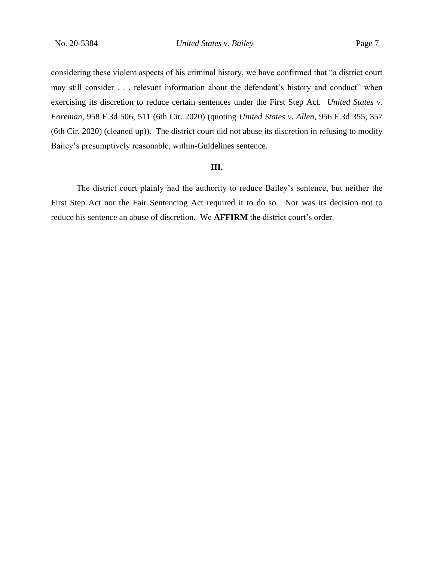considering these violent aspects of his criminal history, we have confirmed that "a district court may still consider . . . relevant information about the defendant's history and conduct" when exercising its discretion to reduce certain sentences under the First Step Act. *United States v. Foreman*, 958 F.3d 506, 511 (6th Cir. 2020) (quoting *United States v. Allen*, 956 F.3d 355, 357 (6th Cir. 2020) (cleaned up)). The district court did not abuse its discretion in refusing to modify Bailey's presumptively reasonable, within-Guidelines sentence.

#### **III.**

The district court plainly had the authority to reduce Bailey's sentence, but neither the First Step Act nor the Fair Sentencing Act required it to do so. Nor was its decision not to reduce his sentence an abuse of discretion. We **AFFIRM** the district court's order.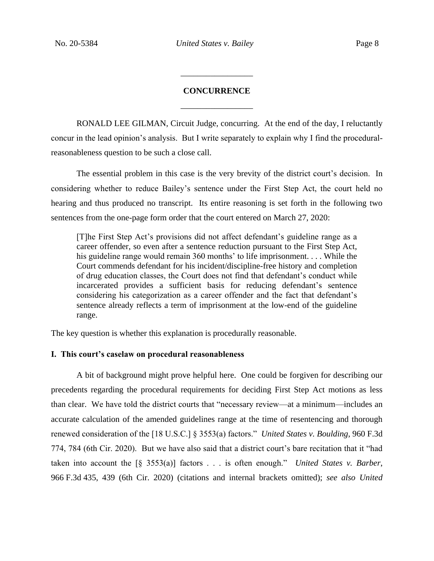# **CONCURRENCE** \_\_\_\_\_\_\_\_\_\_\_\_\_\_\_\_\_

\_\_\_\_\_\_\_\_\_\_\_\_\_\_\_\_\_

RONALD LEE GILMAN, Circuit Judge, concurring. At the end of the day, I reluctantly concur in the lead opinion's analysis. But I write separately to explain why I find the proceduralreasonableness question to be such a close call.

The essential problem in this case is the very brevity of the district court's decision. In considering whether to reduce Bailey's sentence under the First Step Act, the court held no hearing and thus produced no transcript. Its entire reasoning is set forth in the following two sentences from the one-page form order that the court entered on March 27, 2020:

[T]he First Step Act's provisions did not affect defendant's guideline range as a career offender, so even after a sentence reduction pursuant to the First Step Act, his guideline range would remain 360 months' to life imprisonment. . . . While the Court commends defendant for his incident/discipline-free history and completion of drug education classes, the Court does not find that defendant's conduct while incarcerated provides a sufficient basis for reducing defendant's sentence considering his categorization as a career offender and the fact that defendant's sentence already reflects a term of imprisonment at the low-end of the guideline range.

The key question is whether this explanation is procedurally reasonable.

## **I. This court's caselaw on procedural reasonableness**

A bit of background might prove helpful here. One could be forgiven for describing our precedents regarding the procedural requirements for deciding First Step Act motions as less than clear. We have told the district courts that "necessary review—at a minimum—includes an accurate calculation of the amended guidelines range at the time of resentencing and thorough renewed consideration of the [18 U.S.C.] § 3553(a) factors." *United States v. Boulding*, 960 F.3d 774, 784 (6th Cir. 2020). But we have also said that a district court's bare recitation that it "had taken into account the [§ 3553(a)] factors . . . is often enough." *United States v. Barber*, 966 F.3d 435, 439 (6th Cir. 2020) (citations and internal brackets omitted); *see also United*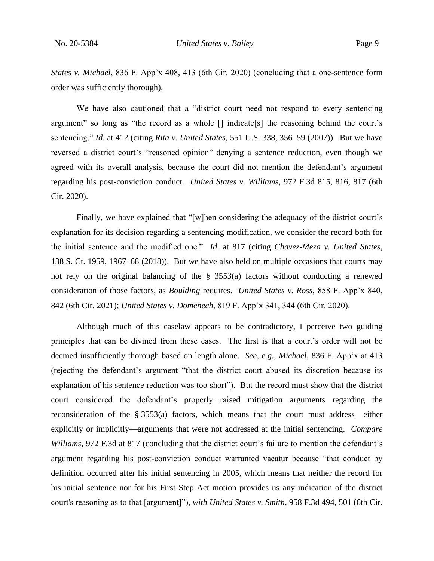*States v. Michael*, 836 F. App'x 408, 413 (6th Cir. 2020) (concluding that a one-sentence form order was sufficiently thorough).

We have also cautioned that a "district court need not respond to every sentencing argument" so long as "the record as a whole [] indicate[s] the reasoning behind the court's sentencing." *Id*. at 412 (citing *Rita v. United States*, 551 U.S. 338, 356–59 (2007)). But we have reversed a district court's "reasoned opinion" denying a sentence reduction, even though we agreed with its overall analysis, because the court did not mention the defendant's argument regarding his post-conviction conduct. *United States v. Williams*, 972 F.3d 815, 816, 817 (6th Cir. 2020).

Finally, we have explained that "[w]hen considering the adequacy of the district court's explanation for its decision regarding a sentencing modification, we consider the record both for the initial sentence and the modified one." *Id*. at 817 (citing *Chavez-Meza v. United States*, 138 S. Ct. 1959, 1967–68 (2018)). But we have also held on multiple occasions that courts may not rely on the original balancing of the § 3553(a) factors without conducting a renewed consideration of those factors, as *Boulding* requires. *United States v. Ross*, 858 F. App'x 840, 842 (6th Cir. 2021); *United States v. Domenech*, 819 F. App'x 341, 344 (6th Cir. 2020).

Although much of this caselaw appears to be contradictory, I perceive two guiding principles that can be divined from these cases. The first is that a court's order will not be deemed insufficiently thorough based on length alone. *See, e.g.*, *Michael*, 836 F. App'x at 413 (rejecting the defendant's argument "that the district court abused its discretion because its explanation of his sentence reduction was too short"). But the record must show that the district court considered the defendant's properly raised mitigation arguments regarding the reconsideration of the § 3553(a) factors, which means that the court must address—either explicitly or implicitly—arguments that were not addressed at the initial sentencing. *Compare Williams*, 972 F.3d at 817 (concluding that the district court's failure to mention the defendant's argument regarding his post-conviction conduct warranted vacatur because "that conduct by definition occurred after his initial sentencing in 2005, which means that neither the record for his initial sentence nor for his First Step Act motion provides us any indication of the district court's reasoning as to that [argument]"), *with United States v. Smith*, 958 F.3d 494, 501 (6th Cir.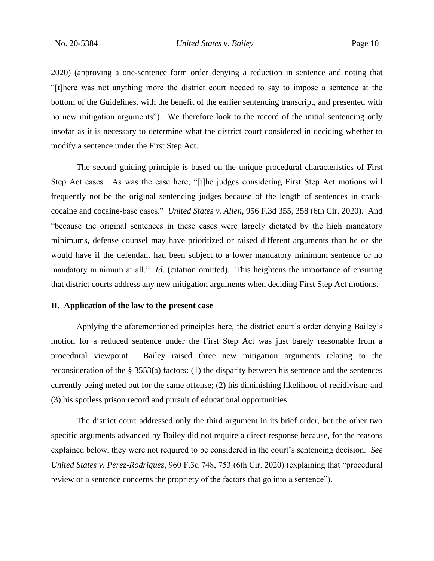2020) (approving a one-sentence form order denying a reduction in sentence and noting that "[t]here was not anything more the district court needed to say to impose a sentence at the bottom of the Guidelines, with the benefit of the earlier sentencing transcript, and presented with no new mitigation arguments"). We therefore look to the record of the initial sentencing only insofar as it is necessary to determine what the district court considered in deciding whether to modify a sentence under the First Step Act.

The second guiding principle is based on the unique procedural characteristics of First Step Act cases. As was the case here, "[t]he judges considering First Step Act motions will frequently not be the original sentencing judges because of the length of sentences in crackcocaine and cocaine-base cases." *United States v. Allen*, 956 F.3d 355, 358 (6th Cir. 2020). And "because the original sentences in these cases were largely dictated by the high mandatory minimums, defense counsel may have prioritized or raised different arguments than he or she would have if the defendant had been subject to a lower mandatory minimum sentence or no mandatory minimum at all." *Id*. (citation omitted). This heightens the importance of ensuring that district courts address any new mitigation arguments when deciding First Step Act motions.

### **II. Application of the law to the present case**

Applying the aforementioned principles here, the district court's order denying Bailey's motion for a reduced sentence under the First Step Act was just barely reasonable from a procedural viewpoint. Bailey raised three new mitigation arguments relating to the reconsideration of the § 3553(a) factors: (1) the disparity between his sentence and the sentences currently being meted out for the same offense; (2) his diminishing likelihood of recidivism; and (3) his spotless prison record and pursuit of educational opportunities.

The district court addressed only the third argument in its brief order, but the other two specific arguments advanced by Bailey did not require a direct response because, for the reasons explained below, they were not required to be considered in the court's sentencing decision. *See United States v. Perez-Rodriguez*, 960 F.3d 748, 753 (6th Cir. 2020) (explaining that "procedural review of a sentence concerns the propriety of the factors that go into a sentence").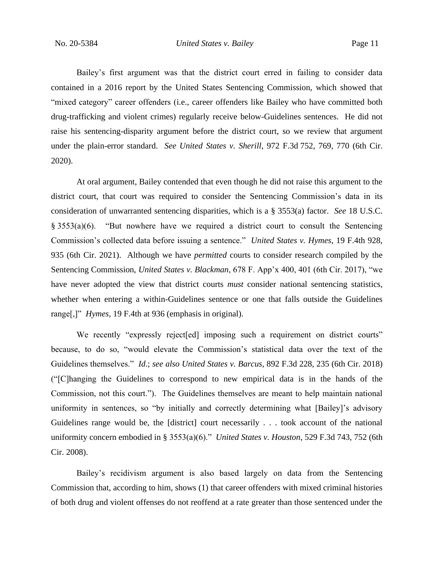Bailey's first argument was that the district court erred in failing to consider data contained in a 2016 report by the United States Sentencing Commission, which showed that "mixed category" career offenders (i.e., career offenders like Bailey who have committed both drug-trafficking and violent crimes) regularly receive below-Guidelines sentences. He did not raise his sentencing-disparity argument before the district court, so we review that argument under the plain-error standard. *See United States v. Sherill*, 972 F.3d 752, 769, 770 (6th Cir. 2020).

At oral argument, Bailey contended that even though he did not raise this argument to the district court, that court was required to consider the Sentencing Commission's data in its consideration of unwarranted sentencing disparities, which is a § 3553(a) factor. *See* 18 U.S.C. § 3553(a)(6). "But nowhere have we required a district court to consult the Sentencing Commission's collected data before issuing a sentence." *United States v. Hymes*, 19 F.4th 928, 935 (6th Cir. 2021). Although we have *permitted* courts to consider research compiled by the Sentencing Commission, *United States v. Blackman*, 678 F. App'x 400, 401 (6th Cir. 2017), "we have never adopted the view that district courts *must* consider national sentencing statistics, whether when entering a within-Guidelines sentence or one that falls outside the Guidelines range[,]" *Hymes*, 19 F.4th at 936 (emphasis in original).

We recently "expressly reject [ed] imposing such a requirement on district courts" because, to do so, "would elevate the Commission's statistical data over the text of the Guidelines themselves." *Id*.; *see also United States v. Barcus*, 892 F.3d 228, 235 (6th Cir. 2018) ("[C]hanging the Guidelines to correspond to new empirical data is in the hands of the Commission, not this court."). The Guidelines themselves are meant to help maintain national uniformity in sentences, so "by initially and correctly determining what [Bailey]'s advisory Guidelines range would be, the [district] court necessarily . . . took account of the national uniformity concern embodied in § 3553(a)(6)." *United States v. Houston*, 529 F.3d 743, 752 (6th Cir. 2008).

Bailey's recidivism argument is also based largely on data from the Sentencing Commission that, according to him, shows (1) that career offenders with mixed criminal histories of both drug and violent offenses do not reoffend at a rate greater than those sentenced under the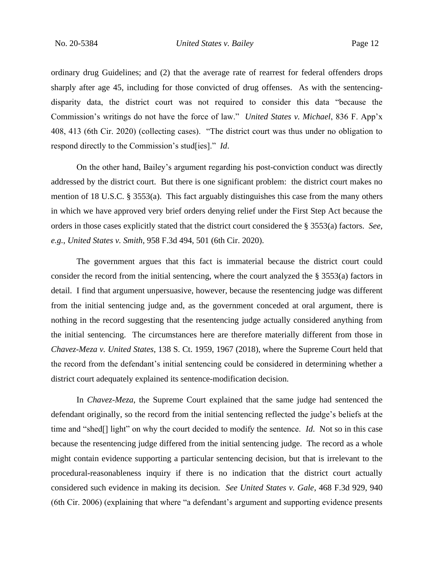ordinary drug Guidelines; and (2) that the average rate of rearrest for federal offenders drops sharply after age 45, including for those convicted of drug offenses.As with the sentencingdisparity data, the district court was not required to consider this data "because the Commission's writings do not have the force of law." *United States v. Michael*, 836 F. App'x 408, 413 (6th Cir. 2020) (collecting cases). "The district court was thus under no obligation to respond directly to the Commission's stud[ies]." *Id*.

On the other hand, Bailey's argument regarding his post-conviction conduct was directly addressed by the district court. But there is one significant problem: the district court makes no mention of 18 U.S.C. § 3553(a). This fact arguably distinguishes this case from the many others in which we have approved very brief orders denying relief under the First Step Act because the orders in those cases explicitly stated that the district court considered the § 3553(a) factors. *See, e.g.*, *United States v. Smith*, 958 F.3d 494, 501 (6th Cir. 2020).

The government argues that this fact is immaterial because the district court could consider the record from the initial sentencing, where the court analyzed the § 3553(a) factors in detail. I find that argument unpersuasive, however, because the resentencing judge was different from the initial sentencing judge and, as the government conceded at oral argument, there is nothing in the record suggesting that the resentencing judge actually considered anything from the initial sentencing. The circumstances here are therefore materially different from those in *Chavez-Meza v. United States*, 138 S. Ct. 1959, 1967 (2018), where the Supreme Court held that the record from the defendant's initial sentencing could be considered in determining whether a district court adequately explained its sentence-modification decision.

In *Chavez-Meza*, the Supreme Court explained that the same judge had sentenced the defendant originally, so the record from the initial sentencing reflected the judge's beliefs at the time and "shed[] light" on why the court decided to modify the sentence. *Id*. Not so in this case because the resentencing judge differed from the initial sentencing judge. The record as a whole might contain evidence supporting a particular sentencing decision, but that is irrelevant to the procedural-reasonableness inquiry if there is no indication that the district court actually considered such evidence in making its decision. *See United States v. Gale*, 468 F.3d 929, 940 (6th Cir. 2006) (explaining that where "a defendant's argument and supporting evidence presents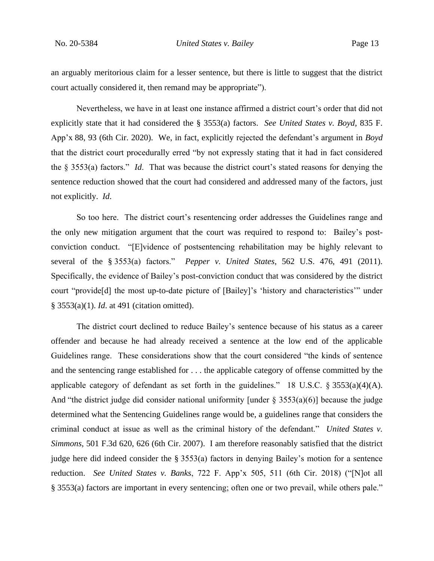an arguably meritorious claim for a lesser sentence, but there is little to suggest that the district court actually considered it, then remand may be appropriate").

Nevertheless, we have in at least one instance affirmed a district court's order that did not explicitly state that it had considered the § 3553(a) factors. *See United States v. Boyd*, 835 F. App'x 88, 93 (6th Cir. 2020). We, in fact, explicitly rejected the defendant's argument in *Boyd* that the district court procedurally erred "by not expressly stating that it had in fact considered the § 3553(a) factors." *Id*. That was because the district court's stated reasons for denying the sentence reduction showed that the court had considered and addressed many of the factors, just not explicitly. *Id*.

So too here. The district court's resentencing order addresses the Guidelines range and the only new mitigation argument that the court was required to respond to: Bailey's postconviction conduct."[E]vidence of postsentencing rehabilitation may be highly relevant to several of the § 3553(a) factors." *Pepper v. United States*, 562 U.S. 476, 491 (2011). Specifically, the evidence of Bailey's post-conviction conduct that was considered by the district court "provide[d] the most up-to-date picture of [Bailey]'s 'history and characteristics'" under § 3553(a)(1). *Id*. at 491 (citation omitted).

The district court declined to reduce Bailey's sentence because of his status as a career offender and because he had already received a sentence at the low end of the applicable Guidelines range. These considerations show that the court considered "the kinds of sentence and the sentencing range established for . . . the applicable category of offense committed by the applicable category of defendant as set forth in the guidelines." 18 U.S.C.  $\S 3553(a)(4)(A)$ . And "the district judge did consider national uniformity [under  $\S$  3553(a)(6)] because the judge determined what the Sentencing Guidelines range would be, a guidelines range that considers the criminal conduct at issue as well as the criminal history of the defendant." *United States v. Simmons*, 501 F.3d 620, 626 (6th Cir. 2007). I am therefore reasonably satisfied that the district judge here did indeed consider the § 3553(a) factors in denying Bailey's motion for a sentence reduction. *See United States v. Banks*, 722 F. App'x 505, 511 (6th Cir. 2018) ("[N]ot all § 3553(a) factors are important in every sentencing; often one or two prevail, while others pale."